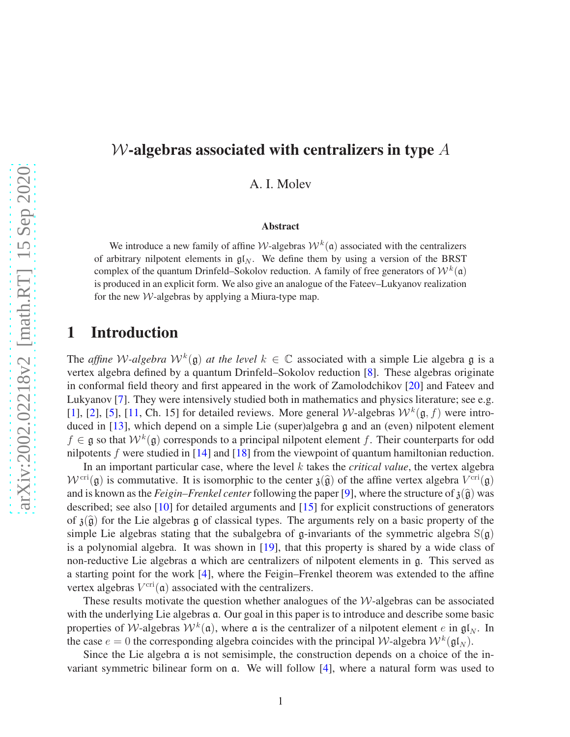## W-algebras associated with centralizers in type *A*

A. I. Molev

#### Abstract

We introduce a new family of affine *W*-algebras  $W^k(\mathfrak{a})$  associated with the centralizers of arbitrary nilpotent elements in  $\mathfrak{gl}_N$ . We define them by using a version of the BRST complex of the quantum Drinfeld–Sokolov reduction. A family of free generators of  $W^k(\mathfrak{a})$ is produced in an explicit form. We also give an analogue of the Fateev–Lukyanov realization for the new  $W$ -algebras by applying a Miura-type map.

## 1 Introduction

The *affine* W-algebra  $W^k(\mathfrak{g})$  at the level  $k \in \mathbb{C}$  associated with a simple Lie algebra g is a vertex algebra defined by a quantum Drinfeld–Sokolov reduction [\[8\]](#page-14-0). These algebras originate in conformal field theory and first appeared in the work of Zamolodchikov [\[20\]](#page-15-0) and Fateev and Lukyanov [\[7\]](#page-14-1). They were intensively studied both in mathematics and physics literature; see e.g. [\[1\]](#page-14-2), [\[2\]](#page-14-3), [\[5\]](#page-14-4), [\[11,](#page-14-5) Ch. 15] for detailed reviews. More general *W*-algebras  $W^k(\mathfrak{g}, f)$  were intro-duced in [\[13\]](#page-15-1), which depend on a simple Lie (super)algebra g and an (even) nilpotent element  $f \in \mathfrak{g}$  so that  $W^k(\mathfrak{g})$  corresponds to a principal nilpotent element f. Their counterparts for odd nilpotents *f* were studied in [\[14\]](#page-15-2) and [\[18\]](#page-15-3) from the viewpoint of quantum hamiltonian reduction.

In an important particular case, where the level *k* takes the *critical value*, the vertex algebra  $W^{\text{cri}}(\mathfrak{g})$  is commutative. It is isomorphic to the center  $\mathfrak{z}(\widehat{\mathfrak{g}})$  of the affine vertex algebra  $V^{\text{cri}}(\mathfrak{g})$ and is known as the *Feigin–Frenkel center* following the paper [\[9\]](#page-14-6), where the structure of  $\mathfrak{z}(\widehat{\mathfrak{g}})$  was described; see also [\[10\]](#page-14-7) for detailed arguments and [\[15\]](#page-15-4) for explicit constructions of generators of  $\mathfrak{z}(\widehat{\mathfrak{g}})$  for the Lie algebras g of classical types. The arguments rely on a basic property of the simple Lie algebras stating that the subalgebra of g-invariants of the symmetric algebra  $S(g)$ is a polynomial algebra. It was shown in [\[19\]](#page-15-5), that this property is shared by a wide class of non-reductive Lie algebras a which are centralizers of nilpotent elements in g. This served as a starting point for the work [\[4\]](#page-14-8), where the Feigin–Frenkel theorem was extended to the affine vertex algebras  $V^{\text{cri}}(\mathfrak{a})$  associated with the centralizers.

These results motivate the question whether analogues of the  $W$ -algebras can be associated with the underlying Lie algebras  $a$ . Our goal in this paper is to introduce and describe some basic properties of *W*-algebras  $W^k(\mathfrak{a})$ , where  $\mathfrak{a}$  is the centralizer of a nilpotent element *e* in  $\mathfrak{gl}_N$ . In the case  $e = 0$  the corresponding algebra coincides with the principal W-algebra  $W^k(\mathfrak{gl}_N)$ .

Since the Lie algebra a is not semisimple, the construction depends on a choice of the invariant symmetric bilinear form on a. We will follow [\[4\]](#page-14-8), where a natural form was used to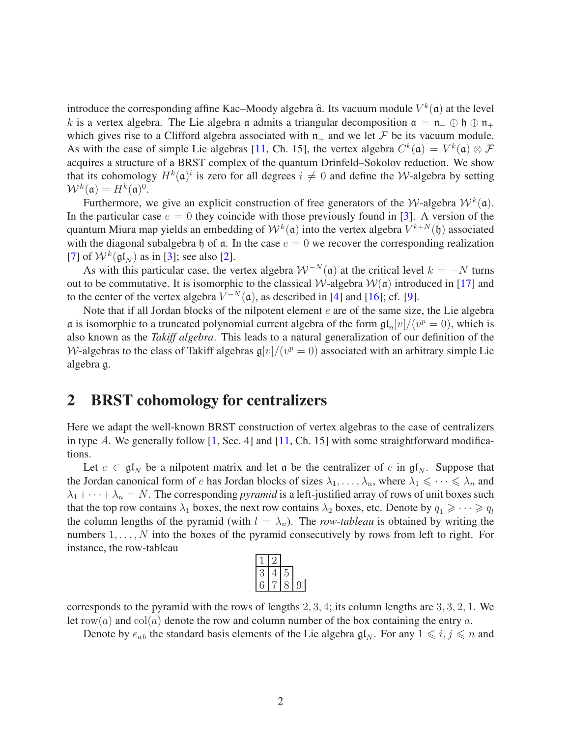introduce the corresponding affine Kac–Moody algebra  $\hat{a}$ . Its vacuum module  $V^k(\mathfrak{a})$  at the level *k* is a vertex algebra. The Lie algebra a admits a triangular decomposition  $a = n_-\oplus \mathfrak{h} \oplus n_+$ which gives rise to a Clifford algebra associated with  $n_+$  and we let F be its vacuum module. As with the case of simple Lie algebras [\[11,](#page-14-5) Ch. 15], the vertex algebra  $C^k(\mathfrak{a}) = V^k(\mathfrak{a}) \otimes \mathcal{F}$ acquires a structure of a BRST complex of the quantum Drinfeld–Sokolov reduction. We show that its cohomology  $H^k(\mathfrak{a})^i$  is zero for all degrees  $i \neq 0$  and define the *W*-algebra by setting  $\mathcal{W}^k(\mathfrak{a}) = H^k(\mathfrak{a})^0.$ 

Furthermore, we give an explicit construction of free generators of the W-algebra  $W^k(\mathfrak{a})$ . In the particular case  $e = 0$  they coincide with those previously found in [\[3\]](#page-14-9). A version of the quantum Miura map yields an embedding of  $W^k(\mathfrak{a})$  into the vertex algebra  $V^{k+N}(\mathfrak{h})$  associated with the diagonal subalgebra h of  $\alpha$ . In the case  $e = 0$  we recover the corresponding realization [\[7\]](#page-14-1) of  $W^k(\mathfrak{gl}_N)$  as in [\[3\]](#page-14-9); see also [\[2\]](#page-14-3).

As with this particular case, the vertex algebra  $W^{-N}(\mathfrak{a})$  at the critical level  $k = -N$  turns out to be commutative. It is isomorphic to the classical W-algebra  $W(\mathfrak{a})$  introduced in [\[17\]](#page-15-6) and to the center of the vertex algebra  $V^{-N}(\mathfrak{a})$ , as described in [\[4\]](#page-14-8) and [\[16\]](#page-15-7); cf. [\[9\]](#page-14-6).

Note that if all Jordan blocks of the nilpotent element *e* are of the same size, the Lie algebra a is isomorphic to a truncated polynomial current algebra of the form  $\mathfrak{gl}_n[v]/(v^p = 0)$ , which is also known as the *Takiff algebra*. This leads to a natural generalization of our definition of the W-algebras to the class of Takiff algebras  $\mathfrak{g}[v]/(v^p = 0)$  associated with an arbitrary simple Lie algebra g.

## 2 BRST cohomology for centralizers

Here we adapt the well-known BRST construction of vertex algebras to the case of centralizers in type  $A$ . We generally follow  $\begin{bmatrix} 1 \\ 1 \end{bmatrix}$ , Sec. 4] and  $\begin{bmatrix} 11 \\ 11 \end{bmatrix}$ , Ch. 15] with some straightforward modifications.

Let  $e \in \mathfrak{gl}_N$  be a nilpotent matrix and let  $\mathfrak a$  be the centralizer of  $e$  in  $\mathfrak{gl}_N$ . Suppose that the Jordan canonical form of *e* has Jordan blocks of sizes  $\lambda_1, \ldots, \lambda_n$ , where  $\lambda_1 \leq \cdots \leq \lambda_n$  and  $\lambda_1 + \cdots + \lambda_n = N$ . The corresponding *pyramid* is a left-justified array of rows of unit boxes such that the top row contains  $\lambda_1$  boxes, the next row contains  $\lambda_2$  boxes, etc. Denote by  $q_1 \geq \cdots \geq q_l$ the column lengths of the pyramid (with  $l = \lambda_n$ ). The *row-tableau* is obtained by writing the numbers  $1, \ldots, N$  into the boxes of the pyramid consecutively by rows from left to right. For instance, the row-tableau

corresponds to the pyramid with the rows of lengths 2*,* 3*,* 4; its column lengths are 3*,* 3*,* 2*,* 1. We let row(*a*) and col(*a*) denote the row and column number of the box containing the entry *a*.

Denote by  $e_{ab}$  the standard basis elements of the Lie algebra  $\mathfrak{gl}_N$ . For any  $1 \leq i, j \leq n$  and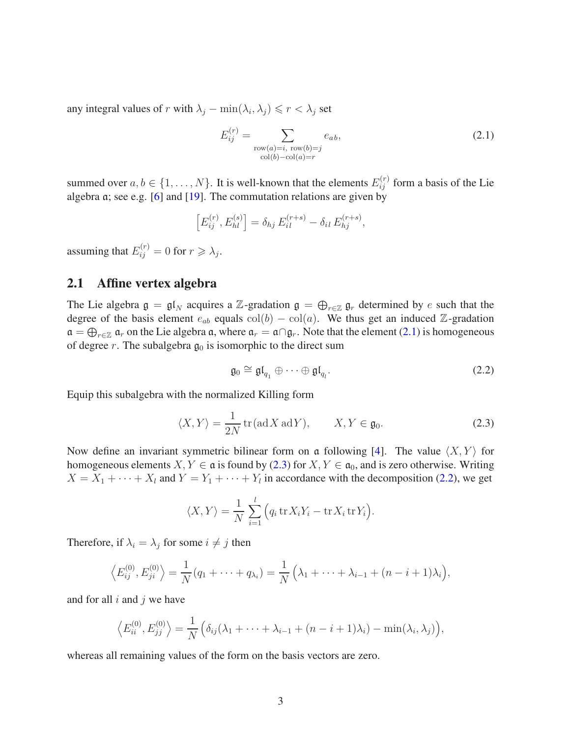any integral values of *r* with  $\lambda_j - \min(\lambda_i, \lambda_j) \le r < \lambda_j$  set

<span id="page-2-0"></span>
$$
E_{ij}^{(r)} = \sum_{\substack{\text{row}(a) = i, \text{row}(b) = j \\ \text{col}(b) - \text{col}(a) = r}} e_{ab},\tag{2.1}
$$

summed over  $a, b \in \{1, \ldots, N\}$ . It is well-known that the elements  $E_{ij}^{(r)}$  form a basis of the Lie algebra a; see e.g. [\[6\]](#page-14-10) and [\[19\]](#page-15-5). The commutation relations are given by

$$
\left[E_{ij}^{(r)}, E_{hl}^{(s)}\right] = \delta_{hj} E_{il}^{(r+s)} - \delta_{il} E_{hj}^{(r+s)},
$$

assuming that  $E_{ij}^{(r)} = 0$  for  $r \geq \lambda_j$ .

### <span id="page-2-3"></span>2.1 Affine vertex algebra

The Lie algebra  $\mathfrak{g} = \mathfrak{gl}_N$  acquires a Z-gradation  $\mathfrak{g} = \bigoplus_{r \in \mathbb{Z}} \mathfrak{g}_r$  determined by *e* such that the degree of the basis element  $e_{ab}$  equals  $col(b) - col(a)$ . We thus get an induced Z-gradation  $\mathfrak{a} = \bigoplus_{r \in \mathbb{Z}} \mathfrak{a}_r$  on the Lie algebra  $\mathfrak{a}$ , where  $\mathfrak{a}_r = \mathfrak{a} \cap \mathfrak{g}_r$ . Note that the element [\(2.1\)](#page-2-0) is homogeneous of degree  $r$ . The subalgebra  $g_0$  is isomorphic to the direct sum

<span id="page-2-2"></span>
$$
\mathfrak{g}_0 \cong \mathfrak{gl}_{q_1} \oplus \cdots \oplus \mathfrak{gl}_{q_l}.
$$
 (2.2)

Equip this subalgebra with the normalized Killing form

<span id="page-2-1"></span>
$$
\langle X, Y \rangle = \frac{1}{2N} \operatorname{tr}(\operatorname{ad} X \operatorname{ad} Y), \qquad X, Y \in \mathfrak{g}_0. \tag{2.3}
$$

Now define an invariant symmetric bilinear form on a following [\[4\]](#page-14-8). The value  $\langle X, Y \rangle$  for homogeneous elements *X*, *Y*  $\in$  **a** is found by [\(2.3\)](#page-2-1) for *X*, *Y*  $\in$  **a**<sub>0</sub>, and is zero otherwise. Writing  $X = X_1 + \cdots + X_l$  and  $Y = Y_1 + \cdots + Y_l$  in accordance with the decomposition [\(2.2\)](#page-2-2), we get

$$
\langle X, Y \rangle = \frac{1}{N} \sum_{i=1}^{l} (q_i \operatorname{tr} X_i Y_i - \operatorname{tr} X_i \operatorname{tr} Y_i).
$$

Therefore, if  $\lambda_i = \lambda_j$  for some  $i \neq j$  then

$$
\langle E_{ij}^{(0)}, E_{ji}^{(0)} \rangle = \frac{1}{N} (q_1 + \dots + q_{\lambda_i}) = \frac{1}{N} (\lambda_1 + \dots + \lambda_{i-1} + (n - i + 1)\lambda_i),
$$

and for all *i* and *j* we have

$$
\left\langle E_{ii}^{(0)}, E_{jj}^{(0)} \right\rangle = \frac{1}{N} \left( \delta_{ij} (\lambda_1 + \dots + \lambda_{i-1} + (n-i+1)\lambda_i) - \min(\lambda_i, \lambda_j) \right),
$$

whereas all remaining values of the form on the basis vectors are zero.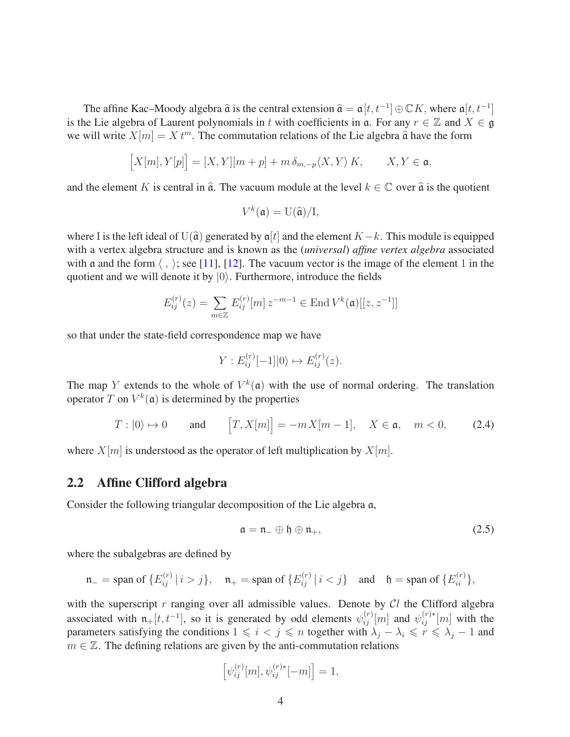The affine Kac–Moody algebra  $\hat{\mathfrak{a}}$  is the central extension  $\hat{\mathfrak{a}} = \mathfrak{a}[t, t^{-1}] \oplus \mathbb{C}K$ , where  $\mathfrak{a}[t, t^{-1}]$ is the Lie algebra of Laurent polynomials in *t* with coefficients in  $\alpha$ . For any  $r \in \mathbb{Z}$  and  $X \in \mathfrak{g}$ we will write  $X[m] = X t^m$ . The commutation relations of the Lie algebra  $\hat{a}$  have the form

$$
\left[X[m],Y[p]\right]=[X,Y][m+p]+m\,\delta_{m,-p}\langle X,Y\rangle\,K,\qquad X,Y\in\mathfrak{a},
$$

and the element *K* is central in  $\hat{a}$ . The vacuum module at the level  $k \in \mathbb{C}$  over  $\hat{a}$  is the quotient

$$
V^k(\mathfrak{a}) = \mathrm{U}(\widehat{\mathfrak{a}})/\mathrm{I},
$$

where I is the left ideal of U( $\hat{a}$ ) generated by  $a[t]$  and the element *K*−*k*. This module is equipped with a vertex algebra structure and is known as the (*universal*) *affine vertex algebra* associated with a and the form  $\langle , \rangle$ ; see [\[11\]](#page-14-5), [\[12\]](#page-15-8). The vacuum vector is the image of the element 1 in the quotient and we will denote it by  $|0\rangle$ . Furthermore, introduce the fields

$$
E_{ij}^{(r)}(z) = \sum_{m \in \mathbb{Z}} E_{ij}^{(r)}[m] z^{-m-1} \in \text{End}\, V^k(\mathfrak{a})[[z, z^{-1}]]
$$

so that under the state-field correspondence map we have

$$
Y: E_{ij}^{(r)}[-1]|0\rangle \mapsto E_{ij}^{(r)}(z).
$$

The map *Y* extends to the whole of  $V^k(\mathfrak{a})$  with the use of normal ordering. The translation operator *T* on  $V^k(\mathfrak{a})$  is determined by the properties

<span id="page-3-1"></span>
$$
T:|0\rangle \mapsto 0 \quad \text{and} \quad [T, X[m]] = -mX[m-1], \quad X \in \mathfrak{a}, \quad m < 0,\tag{2.4}
$$

where  $X[m]$  is understood as the operator of left multiplication by  $X[m]$ .

#### 2.2 Affine Clifford algebra

Consider the following triangular decomposition of the Lie algebra a,

<span id="page-3-0"></span>
$$
\mathfrak{a} = \mathfrak{n}_{-} \oplus \mathfrak{h} \oplus \mathfrak{n}_{+},\tag{2.5}
$$

where the subalgebras are defined by

$$
\mathfrak{n}_{-} = \text{span of } \{ E_{ij}^{(r)} \mid i > j \}, \quad \mathfrak{n}_{+} = \text{span of } \{ E_{ij}^{(r)} \mid i < j \} \quad \text{and} \quad \mathfrak{h} = \text{span of } \{ E_{ii}^{(r)} \},
$$

with the superscript *r* ranging over all admissible values. Denote by Cl the Clifford algebra associated with  $n_+[t, t^{-1}]$ , so it is generated by odd elements  $\psi_{ij}^{(r)}[m]$  and  $\psi_{ij}^{(r)*}[m]$  with the parameters satisfying the conditions  $1 \leq i < j \leq n$  together with  $\lambda_j - \lambda_i \leq r \leq \lambda_j - 1$  and  $m \in \mathbb{Z}$ . The defining relations are given by the anti-commutation relations

$$
\left[\psi_{ij}^{(r)}[m], \psi_{ij}^{(r)*}[-m]\right] = 1,
$$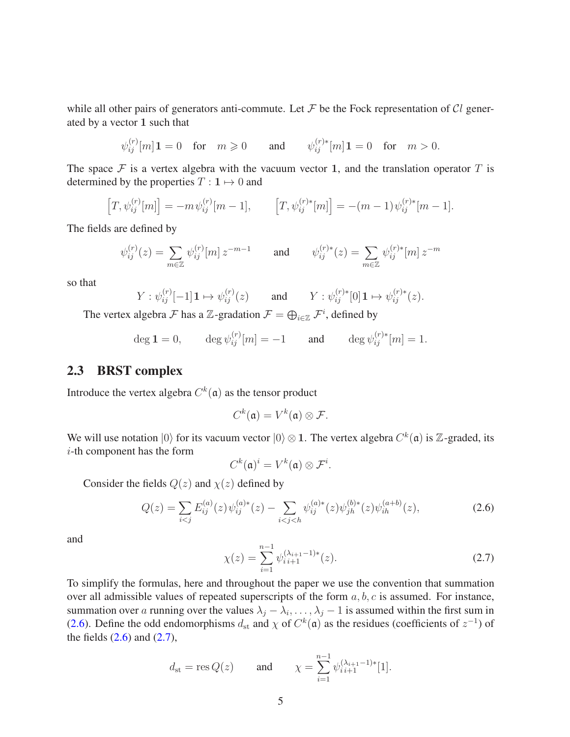while all other pairs of generators anti-commute. Let  $\mathcal F$  be the Fock representation of  $\mathcal Cl$  generated by a vector **1** such that

$$
\psi_{ij}^{(r)}[m]\mathbf{1} = 0 \quad \text{for} \quad m \geq 0 \qquad \text{and} \qquad \psi_{ij}^{(r)*}[m]\mathbf{1} = 0 \quad \text{for} \quad m > 0.
$$

The space  $\mathcal F$  is a vertex algebra with the vacuum vector 1, and the translation operator  $T$  is determined by the properties  $T : \mathbf{1} \mapsto 0$  and

$$
[T, \psi_{ij}^{(r)}[m]] = -m \psi_{ij}^{(r)}[m-1], \qquad [T, \psi_{ij}^{(r)*}[m]] = -(m-1) \psi_{ij}^{(r)*}[m-1].
$$

The fields are defined by

$$
\psi_{ij}^{(r)}(z) = \sum_{m \in \mathbb{Z}} \psi_{ij}^{(r)}[m] z^{-m-1} \quad \text{and} \quad \psi_{ij}^{(r)*}(z) = \sum_{m \in \mathbb{Z}} \psi_{ij}^{(r)*}[m] z^{-m}
$$

so that

$$
Y: \psi_{ij}^{(r)}[-1]\mathbf{1} \mapsto \psi_{ij}^{(r)}(z) \quad \text{and} \quad Y: \psi_{ij}^{(r)*}[0]\mathbf{1} \mapsto \psi_{ij}^{(r)*}(z).
$$

The vertex algebra  $\mathcal F$  has a  $\mathbb Z$ -gradation  $\mathcal F = \bigoplus_{i \in \mathbb Z} \mathcal F^i$ , defined by

 $\deg 1 = 0, \qquad \deg \psi_{ij}^{(r)}[m] = -1 \qquad \text{and} \qquad \deg \psi_{ij}^{(r)*}[m] = 1.$ 

### 2.3 BRST complex

Introduce the vertex algebra  $C^k(\mathfrak{a})$  as the tensor product

$$
C^k(\mathfrak{a})=V^k(\mathfrak{a})\otimes \mathcal{F}.
$$

We will use notation  $|0\rangle$  for its vacuum vector  $|0\rangle \otimes 1$ . The vertex algebra  $C^k(\mathfrak{a})$  is Z-graded, its *i*-th component has the form

$$
C^k(\mathfrak{a})^i = V^k(\mathfrak{a}) \otimes \mathcal{F}^i.
$$

Consider the fields  $Q(z)$  and  $\chi(z)$  defined by

<span id="page-4-0"></span>
$$
Q(z) = \sum_{i < j} E_{ij}^{(a)}(z) \psi_{ij}^{(a)*}(z) - \sum_{i < j < h} \psi_{ij}^{(a)*}(z) \psi_{jh}^{(b)*}(z) \psi_{ih}^{(a+b)}(z),\tag{2.6}
$$

and

<span id="page-4-1"></span>
$$
\chi(z) = \sum_{i=1}^{n-1} \psi_{i}^{(\lambda_{i+1}-1)*}(z). \tag{2.7}
$$

To simplify the formulas, here and throughout the paper we use the convention that summation over all admissible values of repeated superscripts of the form *a, b, c* is assumed. For instance, summation over *a* running over the values  $\lambda_j - \lambda_i, \dots, \lambda_j - 1$  is assumed within the first sum in [\(2.6\)](#page-4-0). Define the odd endomorphisms  $d_{st}$  and  $\chi$  of  $C^k(\mathfrak{a})$  as the residues (coefficients of  $z^{-1}$ ) of the fields  $(2.6)$  and  $(2.7)$ ,

$$
d_{\rm st} = \text{res } Q(z)
$$
 and  $\chi = \sum_{i=1}^{n-1} \psi_{i}^{(\lambda_{i+1}-1)*}[1].$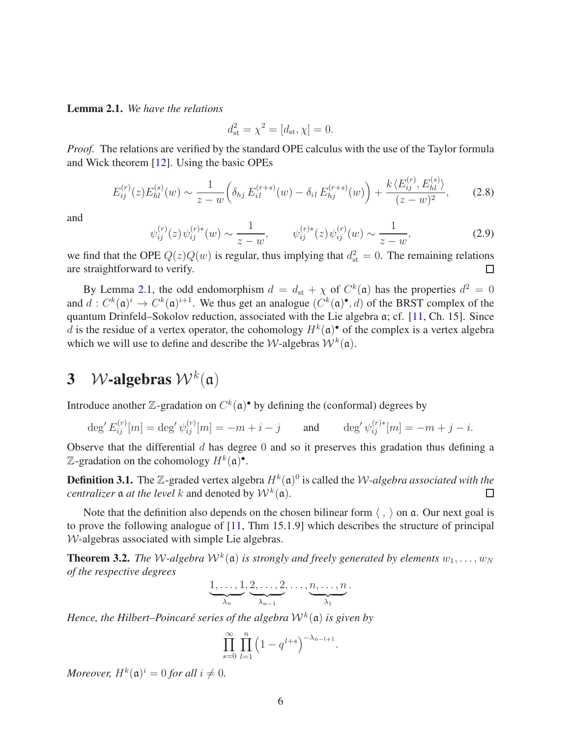<span id="page-5-0"></span>Lemma 2.1. *We have the relations*

$$
d_{\rm st}^2 = \chi^2 = [d_{\rm st}, \chi] = 0.
$$

*Proof.* The relations are verified by the standard OPE calculus with the use of the Taylor formula and Wick theorem [\[12\]](#page-15-8). Using the basic OPEs

<span id="page-5-1"></span>
$$
E_{ij}^{(r)}(z)E_{hl}^{(s)}(w) \sim \frac{1}{z-w} \left( \delta_{hj} E_{il}^{(r+s)}(w) - \delta_{il} E_{hj}^{(r+s)}(w) \right) + \frac{k \langle E_{ij}^{(r)}, E_{hl}^{(s)} \rangle}{(z-w)^2}, \tag{2.8}
$$

and

<span id="page-5-2"></span>
$$
\psi_{ij}^{(r)}(z)\psi_{ij}^{(r)*}(w) \sim \frac{1}{z-w}, \qquad \psi_{ij}^{(r)*}(z)\psi_{ij}^{(r)}(w) \sim \frac{1}{z-w}, \qquad (2.9)
$$

we find that the OPE  $Q(z)Q(w)$  is regular, thus implying that  $d_{st}^2 = 0$ . The remaining relations are straightforward to verify.  $\Box$ 

By Lemma [2.1,](#page-5-0) the odd endomorphism  $d = d_{st} + \chi$  of  $C^k(\mathfrak{a})$  has the properties  $d^2 = 0$ and  $d: C^k(\mathfrak{a})^i \to C^k(\mathfrak{a})^{i+1}$ . We thus get an analogue  $(C^k(\mathfrak{a})^{\bullet}, d)$  of the BRST complex of the quantum Drinfeld–Sokolov reduction, associated with the Lie algebra a; cf. [\[11,](#page-14-5) Ch. 15]. Since *d* is the residue of a vertex operator, the cohomology  $H^k(\mathfrak{a})^{\bullet}$  of the complex is a vertex algebra which we will use to define and describe the *W*-algebras  $W^k(\mathfrak{a})$ .

# <span id="page-5-4"></span>3 *W*-algebras  $W^k(a)$

Introduce another  $\mathbb{Z}$ -gradation on  $C^k(\mathfrak{a})^{\bullet}$  by defining the (conformal) degrees by

$$
\deg' E_{ij}^{(r)}[m] = \deg' \psi_{ij}^{(r)}[m] = -m + i - j \quad \text{and} \quad \deg' \psi_{ij}^{(r)*}[m] = -m + j - i.
$$

Observe that the differential *d* has degree 0 and so it preserves this gradation thus defining a  $\mathbb{Z}$ -gradation on the cohomology  $H^k(\mathfrak{a})^{\bullet}$ .

**Definition 3.1.** The  $\mathbb{Z}$ -graded vertex algebra  $H^k(\mathfrak{a})^0$  is called the *W-algebra associated with the centralizer*  $\mathfrak a$  *at the level*  $k$  and denoted by  $\mathcal W^k(\mathfrak a)$ .  $\Box$ 

Note that the definition also depends on the chosen bilinear form  $\langle , \rangle$  on a. Our next goal is to prove the following analogue of [\[11,](#page-14-5) Thm 15.1.9] which describes the structure of principal W-algebras associated with simple Lie algebras.

<span id="page-5-3"></span>**Theorem 3.2.** The W-algebra  $W^k(\mathfrak{a})$  is strongly and freely generated by elements  $w_1, \ldots, w_N$ *of the respective degrees*

$$
\underbrace{1,\ldots,1}_{\lambda_n},\underbrace{2,\ldots,2}_{\lambda_{n-1}},\ldots,\underbrace{n,\ldots,n}_{\lambda_1}.
$$

*Hence, the Hilbert–Poincaré series of the algebra* W*<sup>k</sup>* (a) *is given by*

$$
\prod_{s=0}^{\infty} \prod_{l=1}^{n} \left( 1 - q^{l+s} \right)^{-\lambda_{n-l+1}}
$$

*.*

*Moreover,*  $H^k(\mathfrak{a})^i = 0$  *for all*  $i \neq 0$ .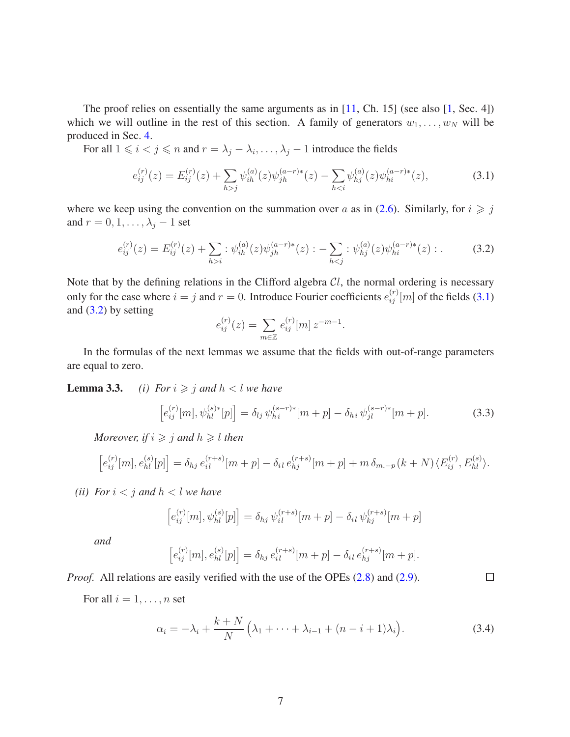The proof relies on essentially the same arguments as in  $[11, Ch. 15]$  (see also  $[1, Sec. 4]$ ) which we will outline in the rest of this section. A family of generators  $w_1, \ldots, w_N$  will be produced in Sec. [4.](#page-9-0)

For all  $1 \leq i < j \leq n$  and  $r = \lambda_j - \lambda_i, \dots, \lambda_j - 1$  introduce the fields

<span id="page-6-0"></span>
$$
e_{ij}^{(r)}(z) = E_{ij}^{(r)}(z) + \sum_{h>j} \psi_{ih}^{(a)}(z) \psi_{jh}^{(a-r)*}(z) - \sum_{h
$$

where we keep using the convention on the summation over *a* as in [\(2.6\)](#page-4-0). Similarly, for  $i \geq j$ and  $r = 0, 1, \ldots, \lambda_j - 1$  set

<span id="page-6-1"></span>
$$
e_{ij}^{(r)}(z) = E_{ij}^{(r)}(z) + \sum_{h>i} : \psi_{ih}^{(a)}(z)\psi_{jh}^{(a-r)*}(z) : - \sum_{h (3.2)
$$

Note that by the defining relations in the Clifford algebra C*l*, the normal ordering is necessary only for the case where  $i = j$  and  $r = 0$ . Introduce Fourier coefficients  $e_{ij}^{(r)}[m]$  of the fields [\(3.1\)](#page-6-0) and  $(3.2)$  by setting

$$
e_{ij}^{(r)}(z) = \sum_{m \in \mathbb{Z}} e_{ij}^{(r)}[m] z^{-m-1}.
$$

In the formulas of the next lemmas we assume that the fields with out-of-range parameters are equal to zero.

**Lemma 3.3.** *(i)* For  $i \ge j$  and  $h < l$  we have

<span id="page-6-2"></span>
$$
\[e_{ij}^{(r)}[m], \psi_{hl}^{(s)*}[p]\] = \delta_{lj} \, \psi_{hi}^{(s-r)*}[m+p] - \delta_{hi} \, \psi_{jl}^{(s-r)*}[m+p]. \tag{3.3}
$$

*Moreover, if*  $i \geq j$  *and*  $h \geq l$  *then* 

$$
[e_{ij}^{(r)}[m], e_{hl}^{(s)}[p]] = \delta_{hj} e_{il}^{(r+s)}[m+p] - \delta_{il} e_{hj}^{(r+s)}[m+p] + m \delta_{m,-p}(k+N) \langle E_{ij}^{(r)}, E_{hl}^{(s)} \rangle.
$$

*(ii)* For  $i < j$  and  $h < l$  we have

$$
\left[e_{ij}^{(r)}[m], \psi_{hl}^{(s)}[p]\right] = \delta_{hj} \psi_{il}^{(r+s)}[m+p] - \delta_{il} \psi_{kj}^{(r+s)}[m+p]
$$

*and*

$$
\[e_{ij}^{(r)}[m], e_{hl}^{(s)}[p]\] = \delta_{hj} e_{il}^{(r+s)}[m+p] - \delta_{il} e_{hj}^{(r+s)}[m+p].
$$

*Proof.* All relations are easily verified with the use of the OPEs [\(2.8\)](#page-5-1) and [\(2.9\)](#page-5-2).

For all  $i = 1, \ldots, n$  set

<span id="page-6-3"></span>
$$
\alpha_i = -\lambda_i + \frac{k+N}{N} \left( \lambda_1 + \dots + \lambda_{i-1} + (n-i+1)\lambda_i \right).
$$
 (3.4)

 $\Box$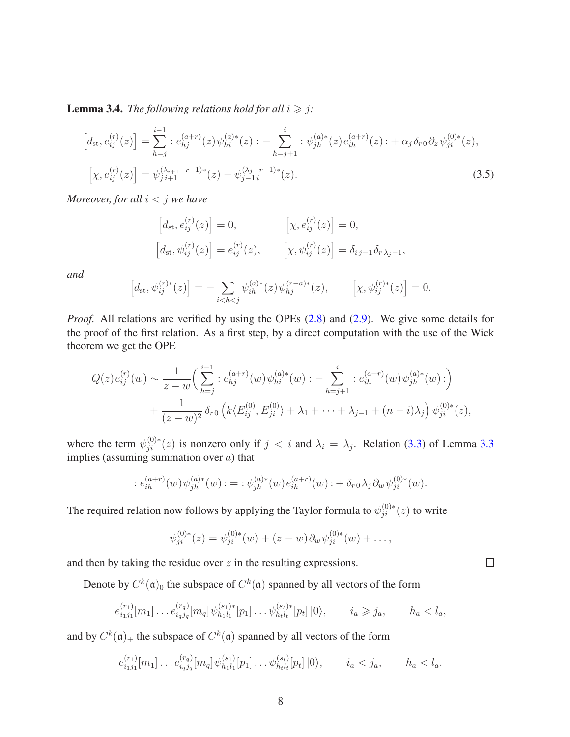<span id="page-7-0"></span>**Lemma 3.4.** *The following relations hold for all*  $i \geq j$ *:* 

$$
\begin{aligned}\n\left[d_{\rm st}, e_{ij}^{(r)}(z)\right] &= \sum_{h=j}^{i-1} :e_{hj}^{(a+r)}(z)\,\psi_{hi}^{(a)*}(z) : -\sum_{h=j+1}^{i} : \psi_{jh}^{(a)*}(z)e_{ih}^{(a+r)}(z) : +\alpha_j \,\delta_{r0}\,\partial_z\,\psi_{ji}^{(0)*}(z), \\
\left[\chi, e_{ij}^{(r)}(z)\right] &= \psi_{j\,i+1}^{(\lambda_{i+1}-r-1)*}(z) - \psi_{j-1\,i}^{(\lambda_j-r-1)*}(z).\n\end{aligned} \tag{3.5}
$$

*Moreover, for all i < j we have*

<span id="page-7-1"></span>
$$
\begin{aligned}\n\left[d_{\text{st}}, e_{ij}^{(r)}(z)\right] &= 0, &\left[\chi, e_{ij}^{(r)}(z)\right] &= 0, \\
\left[d_{\text{st}}, \psi_{ij}^{(r)}(z)\right] &= e_{ij}^{(r)}(z), &\left[\chi, \psi_{ij}^{(r)}(z)\right] &= \delta_{ij-1} \delta_{r \lambda_j - 1},\n\end{aligned}
$$

*and*

$$
\[d_{\mathrm{st}}, \psi_{ij}^{(r)*}(z)\] = -\sum_{i < h < j} \psi_{ih}^{(a)*}(z) \psi_{hj}^{(r-a)*}(z), \qquad \left[\chi, \psi_{ij}^{(r)*}(z)\right] = 0.
$$

*Proof.* All relations are verified by using the OPEs [\(2.8\)](#page-5-1) and [\(2.9\)](#page-5-2). We give some details for the proof of the first relation. As a first step, by a direct computation with the use of the Wick theorem we get the OPE

$$
Q(z)e_{ij}^{(r)}(w) \sim \frac{1}{z-w} \left( \sum_{h=j}^{i-1} :e_{hj}^{(a+r)}(w)\psi_{hi}^{(a)*}(w) : - \sum_{h=j+1}^{i} :e_{ih}^{(a+r)}(w)\psi_{jh}^{(a)*}(w) : \right) + \frac{1}{(z-w)^2} \delta_{r0} \left( k \langle E_{ij}^{(0)}, E_{ji}^{(0)} \rangle + \lambda_1 + \dots + \lambda_{j-1} + (n-i)\lambda_j \right) \psi_{ji}^{(0)*}(z),
$$

where the term  $\psi_{ji}^{(0)*}(z)$  is nonzero only if  $j < i$  and  $\lambda_i = \lambda_j$ . Relation [\(3.3\)](#page-6-2) of Lemma 3.3 implies (assuming summation over *a*) that

$$
: e_{ih}^{(a+r)}(w) \psi_{jh}^{(a)*}(w) : = : \psi_{jh}^{(a)*}(w) e_{ih}^{(a+r)}(w) : + \delta_{r0} \lambda_j \partial_w \psi_{ji}^{(0)*}(w).
$$

The required relation now follows by applying the Taylor formula to  $\psi_{ji}^{(0)*}(z)$  to write

$$
\psi_{ji}^{(0)*}(z) = \psi_{ji}^{(0)*}(w) + (z-w)\partial_w \psi_{ji}^{(0)*}(w) + \dots,
$$

and then by taking the residue over *z* in the resulting expressions.

Denote by  $C^k(\mathfrak{a})_0$  the subspace of  $C^k(\mathfrak{a})$  spanned by all vectors of the form

$$
e_{i_1j_1}^{(r_1)}[m_1] \dots e_{i_qj_q}^{(r_q)}[m_q] \psi_{h_1l_1}^{(s_1)*}[p_1] \dots \psi_{h_tl_t}^{(s_t)*}[p_t] |0\rangle, \qquad i_a \geq j_a, \qquad h_a < l_a,
$$

and by  $C^k(\mathfrak{a})_+$  the subspace of  $C^k(\mathfrak{a})$  spanned by all vectors of the form

$$
e_{i_1j_1}^{(r_1)}[m_1] \dots e_{i_qj_q}^{(r_q)}[m_q] \psi_{h_1l_1}^{(s_1)}[p_1] \dots \psi_{h_tl_t}^{(s_t)}[p_t] |0\rangle, \qquad i_a < j_a, \qquad h_a < l_a.
$$

 $\Box$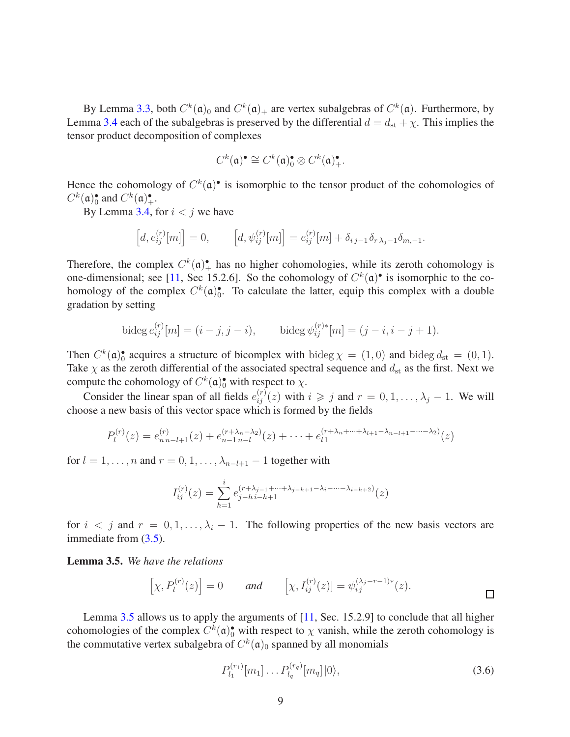By Lemma 3.3, both  $C^k(\mathfrak{a})_0$  and  $C^k(\mathfrak{a})_+$  are vertex subalgebras of  $C^k(\mathfrak{a})$ . Furthermore, by Lemma [3.4](#page-7-0) each of the subalgebras is preserved by the differential  $d = d_{st} + \chi$ . This implies the tensor product decomposition of complexes

$$
C^k(\mathfrak{a})^{\bullet} \cong C^k(\mathfrak{a})_0^{\bullet} \otimes C^k(\mathfrak{a})_+^{\bullet}.
$$

Hence the cohomology of  $C^k(\mathfrak{a})^{\bullet}$  is isomorphic to the tensor product of the cohomologies of  $C^k(\mathfrak{a})_0^{\bullet}$  $\int_0^{\bullet}$  and  $C^k(\mathfrak{a})^{\bullet}_{+}$ .

By Lemma [3.4,](#page-7-0) for  $i < j$  we have

$$
[d, e_{ij}^{(r)}[m]] = 0, \qquad [d, \psi_{ij}^{(r)}[m]] = e_{ij}^{(r)}[m] + \delta_{ij-1}\delta_{r\lambda_j - 1}\delta_{m,-1}.
$$

Therefore, the complex  $C^k(\mathfrak{a})^{\bullet}$  has no higher cohomologies, while its zeroth cohomology is one-dimensional; see [\[11,](#page-14-5) Sec 15.2.6]. So the cohomology of  $C^k(\mathfrak{a})^{\bullet}$  is isomorphic to the cohomology of the complex  $C^k(\mathfrak{a})_0^{\bullet}$  $\bullet$ . To calculate the latter, equip this complex with a double gradation by setting

bideg 
$$
e_{ij}^{(r)}[m] = (i - j, j - i)
$$
, bideg  $\psi_{ij}^{(r)*}[m] = (j - i, i - j + 1)$ .

Then  $C^k(\mathfrak{a})_0^{\bullet}$ • acquires a structure of bicomplex with bideg  $\chi = (1, 0)$  and bideg  $d_{st} = (0, 1)$ . Take  $\chi$  as the zeroth differential of the associated spectral sequence and  $d_{st}$  as the first. Next we compute the cohomology of  $C^k(\mathfrak{a})_0^{\bullet}$  with respect to  $\chi$ .

Consider the linear span of all fields  $e_{ij}^{(r)}(z)$  with  $i \geq j$  and  $r = 0, 1, \ldots, \lambda_j - 1$ . We will choose a new basis of this vector space which is formed by the fields

$$
P_l^{(r)}(z) = e_{n n-l+1}^{(r)}(z) + e_{n-1 n-l}^{(r+\lambda_n-\lambda_2)}(z) + \cdots + e_{l1}^{(r+\lambda_n+\cdots+\lambda_{l+1}-\lambda_{n-l+1}-\cdots-\lambda_2)}(z)
$$

for  $l = 1, \ldots, n$  and  $r = 0, 1, \ldots, \lambda_{n-l+1} - 1$  together with

$$
I_{ij}^{(r)}(z) = \sum_{h=1}^{i} e_{j-h}^{(r+\lambda_{j-1}+\cdots+\lambda_{j-h+1}-\lambda_i-\cdots-\lambda_{i-h+2})}(z)
$$

for  $i < j$  and  $r = 0, 1, \ldots, \lambda_i - 1$ . The following properties of the new basis vectors are immediate from [\(3.5\)](#page-7-1).

<span id="page-8-0"></span>Lemma 3.5. *We have the relations*

$$
[\chi, P_l^{(r)}(z)] = 0 \quad \text{and} \quad [\chi, I_{ij}^{(r)}(z)] = \psi_{ij}^{(\lambda_j - r - 1)*}(z).
$$

Lemma [3.5](#page-8-0) allows us to apply the arguments of [\[11,](#page-14-5) Sec. 15.2.9] to conclude that all higher cohomologies of the complex  $C^k(\mathfrak{a})_0^{\bullet}$  with respect to  $\chi$  vanish, while the zeroth cohomology is the commutative vertex subalgebra of  $C^k(\mathfrak{a})_0$  spanned by all monomials

$$
P_{l_1}^{(r_1)}[m_1] \dots P_{l_q}^{(r_q)}[m_q]|0\rangle, \tag{3.6}
$$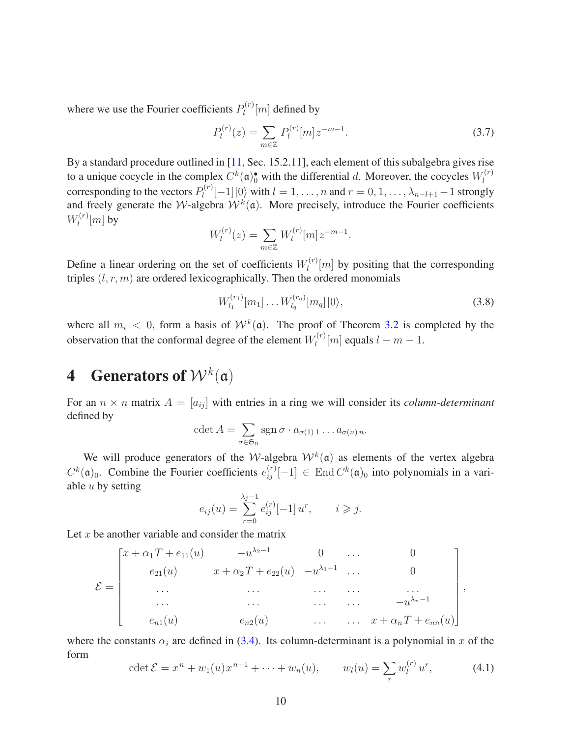where we use the Fourier coefficients  $P_l^{(r)}$  $\mathcal{Q}_l^{(r)}[m]$  defined by

<span id="page-9-2"></span>
$$
P_l^{(r)}(z) = \sum_{m \in \mathbb{Z}} P_l^{(r)}[m] z^{-m-1}.
$$
\n(3.7)

By a standard procedure outlined in [\[11,](#page-14-5) Sec. 15.2.11], each element of this subalgebra gives rise to a unique cocycle in the complex  $C^k(\mathfrak{a})_0^{\bullet}$  with the differential *d*. Moreover, the cocycles  $W_l^{(r)}$ *l* corresponding to the vectors  $P_l^{(r)}$  $\sum_{l}^{(n)}[-1]$  (0) with  $l = 1, ..., n$  and  $r = 0, 1, ..., \lambda_{n-l+1} - 1$  strongly and freely generate the *W*-algebra  $W^k(\mathfrak{a})$ . More precisely, introduce the Fourier coefficients  $W_l^{(r)}$  $\int_l^{(r)}[m]$  by

$$
W_l^{(r)}(z) = \sum_{m \in \mathbb{Z}} W_l^{(r)}[m] z^{-m-1}.
$$

Define a linear ordering on the set of coefficients  $W_l^{(r)}$  $\binom{n}{l}$  by positing that the corresponding triples  $(l, r, m)$  are ordered lexicographically. Then the ordered monomials

<span id="page-9-3"></span>
$$
W_{l_1}^{(r_1)}[m_1] \dots W_{l_q}^{(r_q)}[m_q]|0\rangle, \qquad (3.8)
$$

where all  $m_i < 0$ , form a basis of  $W^k(\mathfrak{a})$ . The proof of Theorem [3.2](#page-5-3) is completed by the observation that the conformal degree of the element  $W_l^{(r)}$  $l_l^{(r)}[m]$  equals  $l - m - 1$ .

# <span id="page-9-0"></span>**4** Generators of  $W^k(\mathfrak{a})$

For an  $n \times n$  matrix  $A = [a_{ij}]$  with entries in a ring we will consider its *column-determinant* defined by

$$
\det A = \sum_{\sigma \in \mathfrak{S}_n} \operatorname{sgn} \sigma \cdot a_{\sigma(1) 1} \dots a_{\sigma(n) n}.
$$

We will produce generators of the *W*-algebra  $W^k(\mathfrak{a})$  as elements of the vertex algebra  $C^k$ ( $\mathfrak{a}$ )<sub>0</sub>. Combine the Fourier coefficients  $e_{ij}^{(r)}[-1] \in \text{End } C^k(\mathfrak{a})_0$  into polynomials in a variable *u* by setting

$$
e_{ij}(u) = \sum_{r=0}^{\lambda_j - 1} e_{ij}^{(r)}[-1] u^r, \qquad i \geq j.
$$

Let *x* be another variable and consider the matrix

$$
\mathcal{E} = \begin{bmatrix} x + \alpha_1 T + e_{11}(u) & -u^{\lambda_2 - 1} & 0 & \dots & 0 \\ e_{21}(u) & x + \alpha_2 T + e_{22}(u) & -u^{\lambda_3 - 1} & \dots & 0 \\ \dots & \dots & \dots & \dots & \dots \\ \dots & \dots & \dots & \dots & \dots \\ e_{n1}(u) & e_{n2}(u) & \dots & \dots & x + \alpha_n T + e_{nn}(u) \end{bmatrix},
$$

where the constants  $\alpha_i$  are defined in [\(3.4\)](#page-6-3). Its column-determinant is a polynomial in *x* of the form

<span id="page-9-1"></span>
$$
\det \mathcal{E} = x^n + w_1(u) x^{n-1} + \dots + w_n(u), \qquad w_l(u) = \sum_r w_l^{(r)} u^r, \tag{4.1}
$$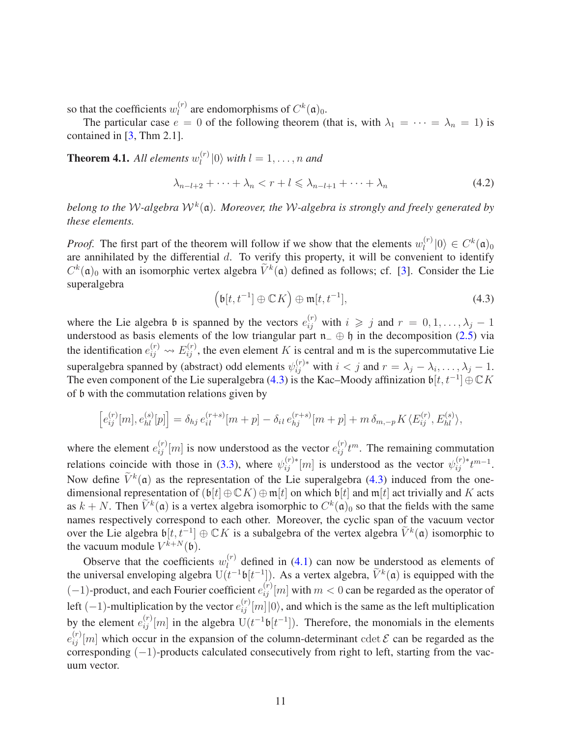so that the coefficients  $w_l^{(r)}$  $l_l^{(r)}$  are endomorphisms of  $C^k(\mathfrak{a})_0$ .

The particular case  $e = 0$  of the following theorem (that is, with  $\lambda_1 = \cdots = \lambda_n = 1$ ) is contained in [\[3,](#page-14-9) Thm 2.1].

<span id="page-10-2"></span>**Theorem 4.1.** All elements  $w_l^{(r)}$  $\binom{n}{l}$  (0) with  $l = 1, \ldots, n$  and

<span id="page-10-1"></span>
$$
\lambda_{n-l+2} + \dots + \lambda_n < r + l \leq \lambda_{n-l+1} + \dots + \lambda_n \tag{4.2}
$$

*belong to the* W*-algebra* W*<sup>k</sup>* (a)*. Moreover, the* W*-algebra is strongly and freely generated by these elements.*

*Proof.* The first part of the theorem will follow if we show that the elements  $w_l^{(r)}$  $\binom{r}{l} |0\rangle \in C^k(\mathfrak{a})_0$ are annihilated by the differential *d*. To verify this property, it will be convenient to identify  $C^k(\mathfrak{a})_0$  with an isomorphic vertex algebra  $\tilde{V}^k(\mathfrak{a})$  defined as follows; cf. [\[3\]](#page-14-9). Consider the Lie superalgebra

<span id="page-10-0"></span>
$$
\left(\mathfrak{b}[t, t^{-1}] \oplus \mathbb{C} K\right) \oplus \mathfrak{m}[t, t^{-1}],\tag{4.3}
$$

where the Lie algebra b is spanned by the vectors  $e_{ij}^{(r)}$  with  $i \geq j$  and  $r = 0, 1, \ldots, \lambda_j - 1$ understood as basis elements of the low triangular part  $n_-\oplus \mathfrak{h}$  in the decomposition [\(2.5\)](#page-3-0) via the identification  $e_{ij}^{(r)} \leftrightarrow E_{ij}^{(r)}$ , the even element *K* is central and m is the supercommutative Lie superalgebra spanned by (abstract) odd elements  $\psi_{ij}^{(r)*}$  with  $i < j$  and  $r = \lambda_j - \lambda_i, \dots, \lambda_j - 1$ . The even component of the Lie superalgebra [\(4.3\)](#page-10-0) is the Kac–Moody affinization b[*t, t*<sup>−</sup><sup>1</sup> ]⊕C*K* of b with the commutation relations given by

$$
\[e_{ij}^{(r)}[m], e_{hl}^{(s)}[p]\] = \delta_{hj} \, e_{il}^{(r+s)}[m+p] - \delta_{il} \, e_{hj}^{(r+s)}[m+p] + m \, \delta_{m,-p} K \langle E_{ij}^{(r)}, E_{hl}^{(s)}\rangle,
$$

where the element  $e_{ij}^{(r)}[m]$  is now understood as the vector  $e_{ij}^{(r)}t^m$ . The remaining commutation relations coincide with those in [\(3.3\)](#page-6-2), where  $\psi_{ij}^{(r)*}[m]$  is understood as the vector  $\psi_{ij}^{(r)*}t^{m-1}$ . Now define  $\tilde{V}^k(\mathfrak{a})$  as the representation of the Lie superalgebra [\(4.3\)](#page-10-0) induced from the onedimensional representation of  $(b[t] \oplus \mathbb{C}K) \oplus \mathfrak{m}[t]$  on which  $b[t]$  and  $\mathfrak{m}[t]$  act trivially and *K* acts as  $k + N$ . Then  $\tilde{V}^k(\mathfrak{a})$  is a vertex algebra isomorphic to  $C^k(\mathfrak{a})_0$  so that the fields with the same names respectively correspond to each other. Moreover, the cyclic span of the vacuum vector over the Lie algebra  $\mathfrak{b}[t, t^{-1}] \oplus \mathbb{C}K$  is a subalgebra of the vertex algebra  $\tilde{V}^k(\mathfrak{a})$  isomorphic to the vacuum module  $V^{k+N}(\mathfrak{b})$ .

Observe that the coefficients  $w_l^{(r)}$  $l_l^{(r)}$  defined in [\(4.1\)](#page-9-1) can now be understood as elements of the universal enveloping algebra  $U(t^{-1}\mathfrak{b}[t^{-1}])$ . As a vertex algebra,  $\tilde{V}^k(\mathfrak{a})$  is equipped with the  $(-1)$ -product, and each Fourier coefficient  $e_{ij}^{(r)}[m]$  with  $m < 0$  can be regarded as the operator of left  $(-1)$ -multiplication by the vector  $e_{ij}^{(r)}[m]|0\rangle$ , and which is the same as the left multiplication by the element  $e_{ij}^{(r)}[m]$  in the algebra  $U(t^{-1}\mathfrak{b}[t^{-1}])$ . Therefore, the monomials in the elements  $e_{ij}^{(r)}[m]$  which occur in the expansion of the column-determinant cdet  $\mathcal E$  can be regarded as the corresponding  $(-1)$ -products calculated consecutively from right to left, starting from the vacuum vector.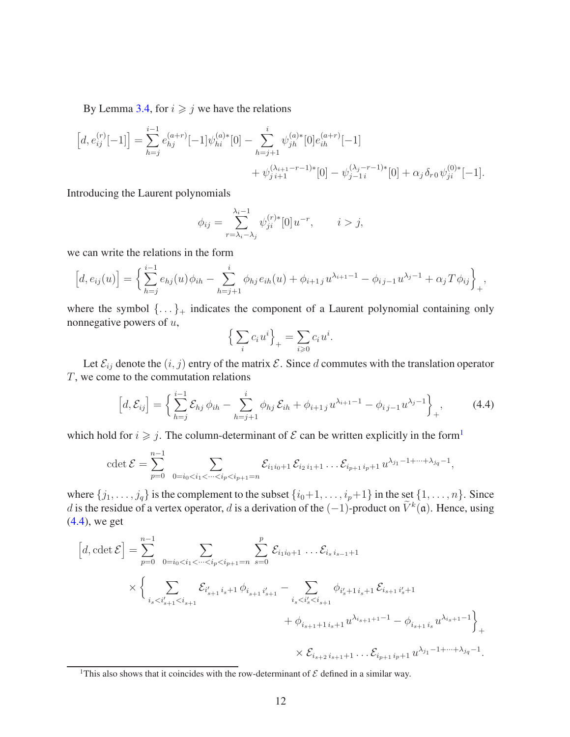By Lemma [3.4,](#page-7-0) for  $i \geq j$  we have the relations

$$
\begin{aligned}\n\left[d, e_{ij}^{(r)}[-1]\right] &= \sum_{h=j}^{i-1} e_{hj}^{(a+r)}[-1] \psi_{hi}^{(a)*}[0] - \sum_{h=j+1}^i \psi_{jh}^{(a)*}[0] e_{ih}^{(a+r)}[-1] \\
&\quad + \psi_{j\,i+1}^{(\lambda_{i+1}-r-1)*}[0] - \psi_{j-1\,i}^{(\lambda_j-r-1)*}[0] + \alpha_j \delta_{r0} \psi_{ji}^{(0)*}[-1].\n\end{aligned}
$$

Introducing the Laurent polynomials

$$
\phi_{ij} = \sum_{r=\lambda_i - \lambda_j}^{\lambda_i - 1} \psi_{ji}^{(r)*}[0]u^{-r}, \qquad i > j,
$$

we can write the relations in the form

$$
[d, e_{ij}(u)] = \left\{ \sum_{h=j}^{i-1} e_{hj}(u) \phi_{ih} - \sum_{h=j+1}^{i} \phi_{hj} e_{ih}(u) + \phi_{i+1j} u^{\lambda_{i+1}-1} - \phi_{i,j-1} u^{\lambda_{j}-1} + \alpha_j T \phi_{ij} \right\},
$$

where the symbol  $\{\ldots\}_+$  indicates the component of a Laurent polynomial containing only nonnegative powers of *u*,

$$
\left\{\sum_{i} c_i u^i\right\}_+ = \sum_{i\geqslant 0} c_i u^i.
$$

Let  $\mathcal{E}_{ij}$  denote the  $(i, j)$  entry of the matrix  $\mathcal{E}$ . Since *d* commutes with the translation operator *T*, we come to the commutation relations

<span id="page-11-1"></span>
$$
\[d,\mathcal{E}_{ij}\] = \left\{\sum_{h=j}^{i-1} \mathcal{E}_{hj} \,\phi_{ih} - \sum_{h=j+1}^{i} \phi_{hj} \,\mathcal{E}_{ih} + \phi_{i+1j} \,u^{\lambda_{i+1}-1} - \phi_{ij-1} \,u^{\lambda_j-1}\right\}_{+},\tag{4.4}
$$

which hold for  $i \geq j$ . The column-determinant of  $\mathcal E$  can be written explicitly in the form<sup>[1](#page-11-0)</sup>

$$
\det \mathcal{E} = \sum_{p=0}^{n-1} \sum_{0=i_0 < i_1 < \dots < i_p < i_{p+1}=n} \mathcal{E}_{i_1 i_0 + 1} \mathcal{E}_{i_2 i_1 + 1} \dots \mathcal{E}_{i_{p+1} i_p + 1} u^{\lambda_{j_1} - 1 + \dots + \lambda_{j_q} - 1},
$$

where  $\{j_1, \ldots, j_q\}$  is the complement to the subset  $\{i_0+1, \ldots, i_p+1\}$  in the set  $\{1, \ldots, n\}$ . Since *d* is the residue of a vertex operator, *d* is a derivation of the  $(-1)$ -product on  $\tilde{V}^k(\mathfrak{a})$ . Hence, using [\(4.4\)](#page-11-1), we get

$$
[d, \operatorname{cdet} \mathcal{E}] = \sum_{p=0}^{n-1} \sum_{0=i_0 < i_1 < \dots < i_p < i_{p+1}=n} \sum_{s=0}^{p} \mathcal{E}_{i_1 i_0+1} \dots \mathcal{E}_{i_s i_{s-1}+1}
$$
  
 
$$
\times \left\{ \sum_{i_s < i'_{s+1} < i_{s+1}} \mathcal{E}_{i'_{s+1} i_s+1} \phi_{i_{s+1} i'_{s+1}} - \sum_{i_s < i'_s < i_{s+1}} \phi_{i'_s+1 i_s+1} \mathcal{E}_{i_{s+1} i'_s+1} + \phi_{i_{s+1}+1 i_s+1} u^{\lambda_{i_{s+1}+1}-1} - \phi_{i_{s+1} i_s} u^{\lambda_{i_s+1}-1} \right\}_+ \times \mathcal{E}_{i_{s+2} i_{s+1}+1} \dots \mathcal{E}_{i_{p+1} i_p+1} u^{\lambda_{j_1}-1+\dots+\lambda_{j_q}-1}.
$$

<span id="page-11-0"></span><sup>&</sup>lt;sup>1</sup>This also shows that it coincides with the row-determinant of  $\mathcal E$  defined in a similar way.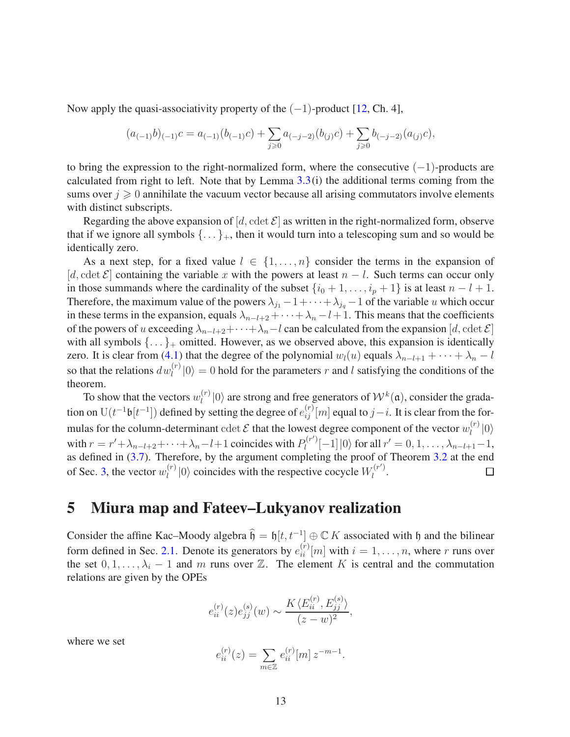Now apply the quasi-associativity property of the  $(-1)$ -product [\[12,](#page-15-8) Ch. 4],

$$
(a_{(-1)}b)_{(-1)}c = a_{(-1)}(b_{(-1)}c) + \sum_{j\geq 0} a_{(-j-2)}(b_{(j)}c) + \sum_{j\geq 0} b_{(-j-2)}(a_{(j)}c),
$$

to bring the expression to the right-normalized form, where the consecutive  $(-1)$ -products are calculated from right to left. Note that by Lemma  $3.3(i)$  the additional terms coming from the sums over  $j \geq 0$  annihilate the vacuum vector because all arising commutators involve elements with distinct subscripts.

Regarding the above expansion of  $[d, \text{cdet }\mathcal{E}]$  as written in the right-normalized form, observe that if we ignore all symbols  $\{\ldots\}_+$ , then it would turn into a telescoping sum and so would be identically zero.

As a next step, for a fixed value  $l \in \{1, ..., n\}$  consider the terms in the expansion of [ $d$ , cdet  $\mathcal{E}$ ] containing the variable x with the powers at least  $n - l$ . Such terms can occur only in those summands where the cardinality of the subset  $\{i_0 + 1, \ldots, i_p + 1\}$  is at least  $n - l + 1$ . Therefore, the maximum value of the powers  $\lambda_{j_1} - 1 + \cdots + \lambda_{j_q} - 1$  of the variable *u* which occur in these terms in the expansion, equals  $\lambda_{n-l+2} + \cdots + \lambda_n - l + 1$ . This means that the coefficients of the powers of *u* exceeding  $\lambda_{n-l+2}+\cdots+\lambda_n-l$  can be calculated from the expansion [*d*, cdet  $\mathcal{E}$ ] with all symbols  $\{\ldots\}_+$  omitted. However, as we observed above, this expansion is identically zero. It is clear from [\(4.1\)](#page-9-1) that the degree of the polynomial  $w_l(u)$  equals  $\lambda_{n-l+1} + \cdots + \lambda_n - l$ so that the relations  $dw_l^{(r)}|0\rangle = 0$  hold for the parameters *r* and *l* satisfying the conditions of the theorem.

To show that the vectors  $w_l^{(r)}$  $\binom{n}{l}$  (0) are strong and free generators of  $W^k(\mathfrak{a})$ , consider the gradation on U( $t^{-1}\mathfrak{b}[t^{-1}]$ ) defined by setting the degree of  $e_{ij}^{(r)}[m]$  equal to  $j-i$ . It is clear from the formulas for the column-determinant  $\det \mathcal{E}$  that the lowest degree component of the vector  $w_l^{(r)}$  $\binom{r}{l}$   $\ket{0}$ with  $r = r' + \lambda_{n-l+2} + \cdots + \lambda_n - l + 1$  coincides with  $P_l^{(r')}$  $\int_l^{(r')}[-1] \, |0\rangle$  for all  $r' = 0, 1, \ldots, \lambda_{n-l+1}-1$ , as defined in [\(3.7\)](#page-9-2). Therefore, by the argument completing the proof of Theorem [3.2](#page-5-3) at the end  $\frac{1}{l}$  (*l*) coincides with the respective cocycle  $W_l^{(r)}$ of Sec. [3,](#page-5-4) the vector  $w_l^{(r)}$  $\frac{d}{dt}$ <sup>r</sup>  $\Box$ 

## 5 Miura map and Fateev–Lukyanov realization

Consider the affine Kac–Moody algebra  $\hat{\mathfrak{h}} = \mathfrak{h}[t, t^{-1}] \oplus \mathbb{C} K$  associated with h and the bilinear form defined in Sec. [2.1.](#page-2-3) Denote its generators by  $e_{ii}^{(r)}[m]$  with  $i = 1, \ldots, n$ , where *r* runs over the set  $0, 1, \ldots, \lambda_i - 1$  and *m* runs over  $\mathbb{Z}$ . The element *K* is central and the commutation relations are given by the OPEs

$$
e_{ii}^{(r)}(z)e_{jj}^{(s)}(w) \sim \frac{K \langle E_{ii}^{(r)}, E_{jj}^{(s)} \rangle}{(z-w)^2},
$$

where we set

$$
e_{ii}^{(r)}(z) = \sum_{m \in \mathbb{Z}} e_{ii}^{(r)}[m] z^{-m-1}.
$$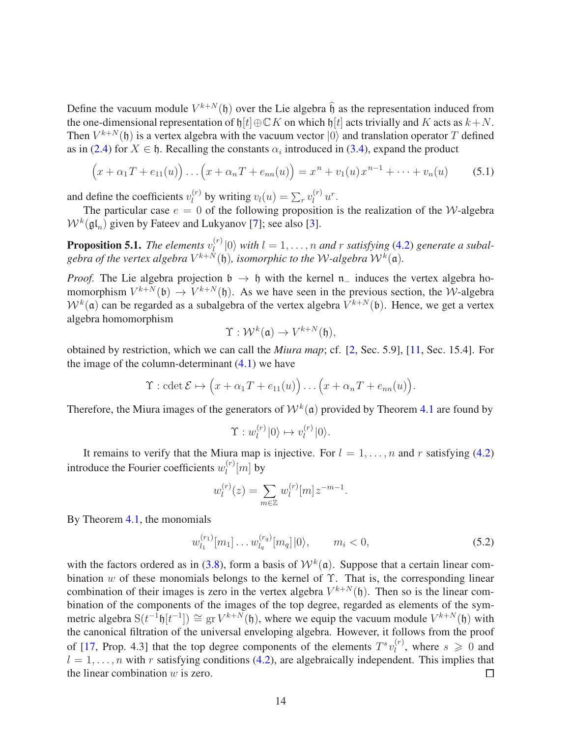Define the vacuum module  $V^{k+N}(\mathfrak{h})$  over the Lie algebra  $\hat{\mathfrak{h}}$  as the representation induced from the one-dimensional representation of  $\mathfrak{h}[t] \oplus \mathbb{C} K$  on which  $\mathfrak{h}[t]$  acts trivially and *K* acts as  $k+N$ . Then  $V^{k+N}(\mathfrak{h})$  is a vertex algebra with the vacuum vector  $|0\rangle$  and translation operator *T* defined as in [\(2.4\)](#page-3-1) for  $X \in \mathfrak{h}$ . Recalling the constants  $\alpha_i$  introduced in [\(3.4\)](#page-6-3), expand the product

<span id="page-13-0"></span>
$$
(x + \alpha_1 T + e_{11}(u)) \dots (x + \alpha_n T + e_{nn}(u)) = x^n + v_1(u) x^{n-1} + \dots + v_n(u)
$$
 (5.1)

and define the coefficients  $v_l^{(r)}$  $v_l(u) = \sum_r v_l^{(r)} u^r$ .

The particular case  $e = 0$  of the following proposition is the realization of the *W*-algebra  $W^k(\mathfrak{gl}_n)$  given by Fateev and Lukyanov [\[7\]](#page-14-1); see also [\[3\]](#page-14-9).

**Proposition 5.1.** *The elements*  $v_l^{(r)}$  $\binom{n}{l}$  (0) with  $l = 1, \ldots, n$  and  $r$  satisfying [\(4.2\)](#page-10-1) generate a subalgebra of the vertex algebra  $V^{k+N}(\mathfrak{h})$ , isomorphic to the W-algebra  $\mathcal{W}^k(\mathfrak{a})$ .

*Proof.* The Lie algebra projection  $b \rightarrow b$  with the kernel n<sub>−</sub> induces the vertex algebra homomorphism  $V^{k+N}(\mathfrak{b}) \to V^{k+N}(\mathfrak{h})$ . As we have seen in the previous section, the *W*-algebra  $W^k(\mathfrak{a})$  can be regarded as a subalgebra of the vertex algebra  $V^{k+N}(\mathfrak{b})$ . Hence, we get a vertex algebra homomorphism

$$
\Upsilon: \mathcal{W}^k(\mathfrak{a}) \to V^{k+N}(\mathfrak{h}),
$$

obtained by restriction, which we can call the *Miura map*; cf. [\[2,](#page-14-3) Sec. 5.9], [\[11,](#page-14-5) Sec. 15.4]. For the image of the column-determinant  $(4.1)$  we have

$$
\Upsilon
$$
 : cdet  $\mathcal{E} \mapsto (x + \alpha_1 T + e_{11}(u)) \dots (x + \alpha_n T + e_{nn}(u)).$ 

Therefore, the Miura images of the generators of  $W^k(\mathfrak{a})$  provided by Theorem [4.1](#page-10-2) are found by

$$
\Upsilon: w_l^{(r)}|0\rangle \mapsto v_l^{(r)}|0\rangle.
$$

It remains to verify that the Miura map is injective. For  $l = 1, \ldots, n$  and r satisfying [\(4.2\)](#page-10-1) introduce the Fourier coefficients  $w_l^{(r)}$  $\binom{r}{l}$  [*m*] by

$$
w_l^{(r)}(z) = \sum_{m \in \mathbb{Z}} w_l^{(r)}[m] z^{-m-1}.
$$

By Theorem [4.1,](#page-10-2) the monomials

$$
w_{l_1}^{(r_1)}[m_1] \dots w_{l_q}^{(r_q)}[m_q]|0\rangle, \qquad m_i < 0,\tag{5.2}
$$

with the factors ordered as in [\(3.8\)](#page-9-3), form a basis of  $W^k(\mathfrak{a})$ . Suppose that a certain linear combination *w* of these monomials belongs to the kernel of Υ. That is, the corresponding linear combination of their images is zero in the vertex algebra  $V^{k+N}(\mathfrak{h})$ . Then so is the linear combination of the components of the images of the top degree, regarded as elements of the symmetric algebra  $S(t^{-1}h[t^{-1}]) \cong gr V^{k+N}(h)$ , where we equip the vacuum module  $V^{k+N}(h)$  with the canonical filtration of the universal enveloping algebra. However, it follows from the proof of [\[17,](#page-15-6) Prop. 4.3] that the top degree components of the elements  $T^s v_l^{(r)}$  $\lambda_l^{(r)}$ , where  $s \geq 0$  and  $l = 1, \ldots, n$  with *r* satisfying conditions [\(4.2\)](#page-10-1), are algebraically independent. This implies that the linear combination *w* is zero. □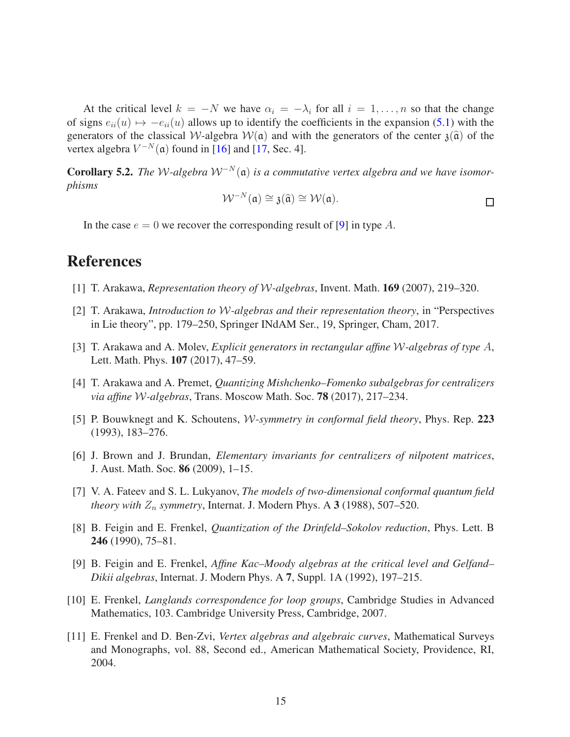At the critical level  $k = -N$  we have  $\alpha_i = -\lambda_i$  for all  $i = 1, \ldots, n$  so that the change of signs  $e_{ii}(u) \mapsto -e_{ii}(u)$  allows up to identify the coefficients in the expansion [\(5.1\)](#page-13-0) with the generators of the classical W-algebra  $W(\mathfrak{a})$  and with the generators of the center  $\mathfrak{z}(\hat{\mathfrak{a}})$  of the vertex algebra  $V^{-N}(\mathfrak{a})$  found in [\[16\]](#page-15-7) and [\[17,](#page-15-6) Sec. 4].

Corollary 5.2. *The* W*-algebra* W<sup>−</sup>*<sup>N</sup>* (a) *is a commutative vertex algebra and we have isomorphisms*

$$
\mathcal{W}^{-N}(\mathfrak{a}) \cong \mathfrak{z}(\widehat{\mathfrak{a}}) \cong \mathcal{W}(\mathfrak{a}).
$$

In the case  $e = 0$  we recover the corresponding result of [\[9\]](#page-14-6) in type A.

## <span id="page-14-2"></span>References

- <span id="page-14-3"></span>[1] T. Arakawa, *Representation theory of* W*-algebras*, Invent. Math. 169 (2007), 219–320.
- <span id="page-14-9"></span>[2] T. Arakawa, *Introduction to* W*-algebras and their representation theory*, in "Perspectives in Lie theory", pp. 179–250, Springer INdAM Ser., 19, Springer, Cham, 2017.
- <span id="page-14-8"></span>[3] T. Arakawa and A. Molev, *Explicit generators in rectangular affine* W*-algebras of type A*, Lett. Math. Phys. 107 (2017), 47–59.
- <span id="page-14-4"></span>[4] T. Arakawa and A. Premet, *Quantizing Mishchenko–Fomenko subalgebras for centralizers via affine* W*-algebras*, Trans. Moscow Math. Soc. 78 (2017), 217–234.
- <span id="page-14-10"></span>[5] P. Bouwknegt and K. Schoutens, W*-symmetry in conformal field theory*, Phys. Rep. 223 (1993), 183–276.
- <span id="page-14-1"></span>[6] J. Brown and J. Brundan, *Elementary invariants for centralizers of nilpotent matrices*, J. Aust. Math. Soc. 86 (2009), 1–15.
- <span id="page-14-0"></span>[7] V. A. Fateev and S. L. Lukyanov, *The models of two-dimensional conformal quantum field theory with*  $Z_n$  *symmetry*, Internat. J. Modern Phys. A 3 (1988), 507–520.
- <span id="page-14-6"></span>[8] B. Feigin and E. Frenkel, *Quantization of the Drinfeld–Sokolov reduction*, Phys. Lett. B 246 (1990), 75–81.
- [9] B. Feigin and E. Frenkel, *Affine Kac–Moody algebras at the critical level and Gelfand– Dikii algebras*, Internat. J. Modern Phys. A 7, Suppl. 1A (1992), 197–215.
- <span id="page-14-7"></span><span id="page-14-5"></span>[10] E. Frenkel, *Langlands correspondence for loop groups*, Cambridge Studies in Advanced Mathematics, 103. Cambridge University Press, Cambridge, 2007.
- [11] E. Frenkel and D. Ben-Zvi, *Vertex algebras and algebraic curves*, Mathematical Surveys and Monographs, vol. 88, Second ed., American Mathematical Society, Providence, RI, 2004.